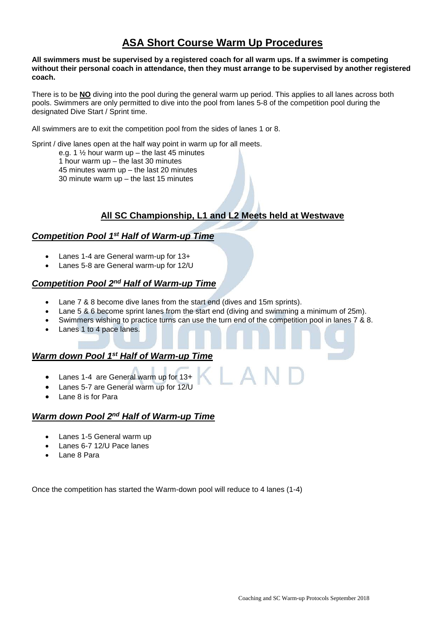# **ASA Short Course Warm Up Procedures**

#### **All swimmers must be supervised by a registered coach for all warm ups. If a swimmer is competing without their personal coach in attendance, then they must arrange to be supervised by another registered coach.**

There is to be **NO** diving into the pool during the general warm up period. This applies to all lanes across both pools. Swimmers are only permitted to dive into the pool from lanes 5-8 of the competition pool during the designated Dive Start / Sprint time.

All swimmers are to exit the competition pool from the sides of lanes 1 or 8.

Sprint / dive lanes open at the half way point in warm up for all meets.

e.g. 1  $\frac{1}{2}$  hour warm up – the last 45 minutes 1 hour warm up – the last 30 minutes

45 minutes warm up – the last 20 minutes

30 minute warm up – the last 15 minutes

# **All SC Championship, L1 and L2 Meets held at Westwave**

### *Competition Pool 1st Half of Warm-up Time*

- Lanes 1-4 are General warm-up for 13+
- Lanes 5-8 are General warm-up for 12/U

#### *Competition Pool 2nd Half of Warm-up Time*

- Lane 7 & 8 become dive lanes from the start end (dives and 15m sprints).
- Lane 5 & 6 become sprint lanes from the start end (diving and swimming a minimum of 25m).
- Swimmers wishing to practice turns can use the turn end of the competition pool in lanes 7 & 8.

 $\lfloor A \rfloor$ 

Lanes 1 to 4 pace lanes.

### *Warm down Pool 1st Half of Warm-up Time*

- Lanes 1-4 are General warm up for 13+
- Lanes 5-7 are General warm up for 12/U
- Lane 8 is for Para

## *Warm down Pool 2nd Half of Warm-up Time*

- Lanes 1-5 General warm up
- Lanes 6-7 12/U Pace lanes
- Lane 8 Para

Once the competition has started the Warm-down pool will reduce to 4 lanes (1-4)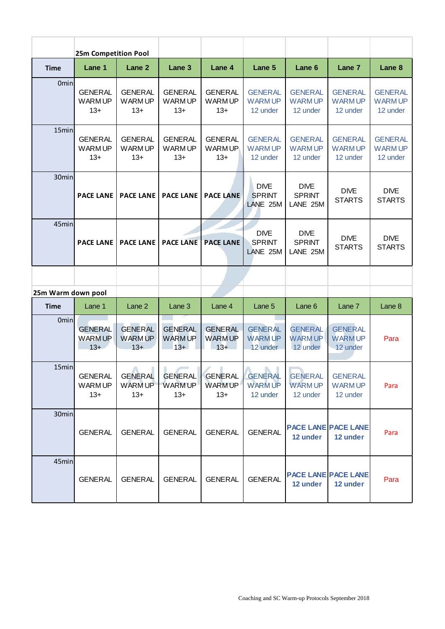|                    | 25m Competition Pool                     |                                               |                                          |                                          |                                                  |                                              |                                             |                                             |
|--------------------|------------------------------------------|-----------------------------------------------|------------------------------------------|------------------------------------------|--------------------------------------------------|----------------------------------------------|---------------------------------------------|---------------------------------------------|
| <b>Time</b>        | Lane 1                                   | Lane <sub>2</sub>                             | Lane 3                                   | Lane 4                                   | Lane 5                                           | Lane 6                                       | Lane 7                                      | Lane <sub>8</sub>                           |
| 0 <sub>min</sub>   | <b>GENERAL</b><br><b>WARMUP</b><br>$13+$ | <b>GENERAL</b><br><b>WARMUP</b><br>$13+$      | <b>GENERAL</b><br><b>WARMUP</b><br>$13+$ | <b>GENERAL</b><br><b>WARMUP</b><br>$13+$ | <b>GENERAL</b><br><b>WARMUP</b><br>12 under      | <b>GENERAL</b><br><b>WARMUP</b><br>12 under  | <b>GENERAL</b><br><b>WARMUP</b><br>12 under | <b>GENERAL</b><br><b>WARMUP</b><br>12 under |
| 15min              | <b>GENERAL</b><br><b>WARMUP</b><br>$13+$ | <b>GENERAL</b><br><b>WARMUP</b><br>$13+$      | <b>GENERAL</b><br><b>WARMUP</b><br>$13+$ | <b>GENERAL</b><br>WARM UP<br>$13+$       | <b>GENERAL</b><br><b>WARMUP</b><br>12 under      | <b>GENERAL</b><br><b>WARMUP</b><br>12 under  | <b>GENERAL</b><br><b>WARMUP</b><br>12 under | <b>GENERAL</b><br><b>WARMUP</b><br>12 under |
| 30min              | <b>PACE LANE</b>                         | <b>PACE LANE</b>                              | <b>PACE LANE</b>                         | <b>PACE LANE</b>                         | <b>DIVE</b><br><b>SPRINT</b><br>LANE 25M         | <b>DIVE</b><br><b>SPRINT</b><br>LANE 25M     | <b>DIVE</b><br><b>STARTS</b>                | <b>DIVE</b><br><b>STARTS</b>                |
| 45min              | <b>PACE LANE</b>                         | <b>PACE LANE</b>                              | <b>PACE LANE</b>                         | <b>PACE LANE</b>                         | <b>DIVE</b><br><b>SPRINT</b><br>LANE 25M         | <b>DIVE</b><br><b>SPRINT</b><br>LANE 25M     | <b>DIVE</b><br><b>STARTS</b>                | <b>DIVE</b><br><b>STARTS</b>                |
|                    |                                          |                                               |                                          |                                          |                                                  |                                              |                                             |                                             |
| 25m Warm down pool |                                          |                                               |                                          |                                          |                                                  |                                              |                                             |                                             |
| <b>Time</b>        | Lane 1                                   | Lane 2                                        | Lane 3                                   | Lane 4                                   | Lane 5                                           | Lane <sub>6</sub>                            | Lane 7                                      | Lane 8                                      |
| Ominl              | <b>GENERAL</b><br><b>WARMUP</b><br>$13+$ | <b>GENERAL</b><br><b>WARM UP</b><br>$13+$     | <b>GENERAL</b><br><b>WARMUP</b><br>$13+$ | <b>GENERAL</b><br><b>WARMUP</b><br>$13+$ | <b>GENERAL</b><br><b>WARMUP</b><br>12 under      | <b>GENERAL</b><br><b>WARMUP</b><br>12 under  | <b>GENERAL</b><br><b>WARMUP</b><br>12 under | Para                                        |
| 15min              | <b>GENERAL</b><br><b>WARMUP</b><br>$13+$ | Λ<br><b>GENERAL</b><br><b>WARMUP</b><br>$13+$ | <b>GENERAL</b><br><b>WARMUP</b><br>$13+$ | <b>GENERAL</b><br><b>WARMUP</b><br>$13+$ | л<br><b>GENERAL</b><br><b>WARMUP</b><br>12 under | <b>GENERAL</b><br><b>WARM UP</b><br>12 under | <b>GENERAL</b><br><b>WARMUP</b><br>12 under | Para                                        |
| 30min              | <b>GENERAL</b>                           | <b>GENERAL</b>                                | <b>GENERAL</b>                           | <b>GENERAL</b>                           | <b>GENERAL</b>                                   | 12 under                                     | <b>PACE LANE PACE LANE</b><br>12 under      | Para                                        |
| 45min              | <b>GENERAL</b>                           | <b>GENERAL</b>                                | <b>GENERAL</b>                           | <b>GENERAL</b>                           | <b>GENERAL</b>                                   | 12 under                                     | <b>PACE LANE PACE LANE</b><br>12 under      | Para                                        |